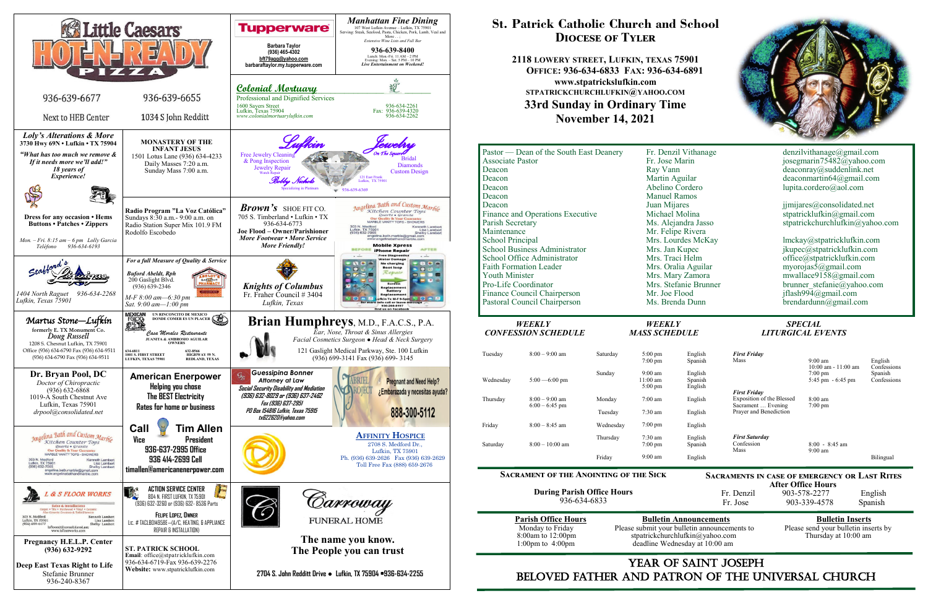

## YEAR OF SAINT JOSEPH beloved father AND Patron of the Universal Church

**After Office Hours**<br>Fr. Denzil 903-578-2277 903-578-2277 English Fr. Jose 903-339-4578 Spanish

Please submit your bulletin announcements to deadline Wednesday at 10:00 am

## **Parish Office Hours Bulletin Announcements**<br>Please submit your bulletin announcements to Please send your bulletin inserts by stpatrickchurchlufkin@yahoo.com Thursday at 10:00 am

## **St. Patrick Catholic Church and School Diocese of Tyler**

**2118 LOWERY STREET, LUFKIN, TEXAS 75901 OFFICE: 936-634-6833 FAX: 936-634-6891 www.stpatrickslufkin.com STPATRICKCHURCHLUFKIN@YAHOO.COM 33rd Sunday in Ordinary Time November 14, 2021**

| WEEKLY               | <b>SPECIAL</b>                                                                                                                                                                                                                   |
|----------------------|----------------------------------------------------------------------------------------------------------------------------------------------------------------------------------------------------------------------------------|
|                      |                                                                                                                                                                                                                                  |
|                      | $b$ rendardunn@gmail.com                                                                                                                                                                                                         |
|                      | jflash994@gmail.com                                                                                                                                                                                                              |
|                      | brunner stefanie@yahoo.com                                                                                                                                                                                                       |
|                      | mwallace9158@gmail.com                                                                                                                                                                                                           |
|                      | myorojas5@gmail.com                                                                                                                                                                                                              |
| Mrs. Traci Helm      | office@stpatricklufkin.com                                                                                                                                                                                                       |
| Mrs. Jan Kupec       | jkupec@stpatricklufkin.com                                                                                                                                                                                                       |
| Mrs. Lourdes McKay   | lmckay@stpatricklufkin.com                                                                                                                                                                                                       |
| Mr. Felipe Rivera    |                                                                                                                                                                                                                                  |
| Ms. Alejandra Jasso  | stpatrickchurchlufkin@yahoo.com                                                                                                                                                                                                  |
|                      | stpatricklufkin@gmail.com                                                                                                                                                                                                        |
|                      | jimijares@consolidated.net                                                                                                                                                                                                       |
|                      |                                                                                                                                                                                                                                  |
|                      | lupita.cordero@aol.com                                                                                                                                                                                                           |
|                      | deaconmartin64@gmail.com                                                                                                                                                                                                         |
|                      | deaconray@suddenlink.net                                                                                                                                                                                                         |
|                      | josegmarin75482@yahoo.com                                                                                                                                                                                                        |
| Fr. Denzil Vithanage | denzilvithanage@gmail.com                                                                                                                                                                                                        |
|                      | Fr. Jose Marin<br>Ray Vann<br>Martin Aguilar<br>Abelino Cordero<br><b>Manuel Ramos</b><br>Juan Mijares<br>Michael Molina<br>Mrs. Oralia Aguilar<br>Mrs. Mary Zamora<br>Mrs. Stefanie Brunner<br>Mr. Joe Flood<br>Ms. Brenda Dunn |

#### **Sacrament of the Anointing of the Sick**

**During Parish Office Hours**  936-634-6833

**Sacraments in case of emergency or Last Rites** 

# *CONFESSION SCHEDULE MASS SCHEDULE LITURGICAL EVENTS*

| Tuesday   | $8:00 - 9:00$ am | Saturday  | $5:00 \text{ pm}$<br>$7:00 \text{ pm}$             |
|-----------|------------------|-----------|----------------------------------------------------|
| Wednesday | $5:00 - 6:00$ pm | Sunday    | $9:00 \text{ am}$<br>11:00 am<br>$5:00 \text{ pm}$ |
| Thursday  | $8:00 - 9:00$ am | Monday    | $7:00 \text{ am}$                                  |
|           | $6:00 - 6:45$ pm | Tuesday   | $7:30 \text{ am}$                                  |
| Friday    | $8:00 - 8:45$ am | Wednesday | $7:00 \text{ pm}$                                  |
| Saturday  | $8:00-10:00$ am  | Thursday  | $7:30 \text{ am}$<br>$7:00$ pm                     |
|           |                  | Friday    | $9:00 \text{ am}$                                  |

| English | <b>First Friday</b>                          |                                              |                        |
|---------|----------------------------------------------|----------------------------------------------|------------------------|
| Spanish | Mass                                         | $9:00 \text{ am}$<br>$10:00$ am - $11:00$ am | English<br>Confessions |
| English |                                              | $7:00 \text{ pm}$                            | Spanish                |
| Spanish |                                              | $5:45$ pm $-6:45$ pm                         | Confessions            |
| English | <b>First Friday</b>                          |                                              |                        |
| English | Exposition of the Blessed                    | $8:00 \text{ am}$                            |                        |
| English | Sacrament  Evening<br>Prayer and Benediction | $7:00 \text{ pm}$                            |                        |
| English |                                              |                                              |                        |
| English | <b>First Saturday</b>                        |                                              |                        |
| Spanish | Confession<br>Mass                           | $8:00 - 8:45$ am<br>$9:00 \text{ am}$        |                        |
| English |                                              |                                              | Bilingual              |